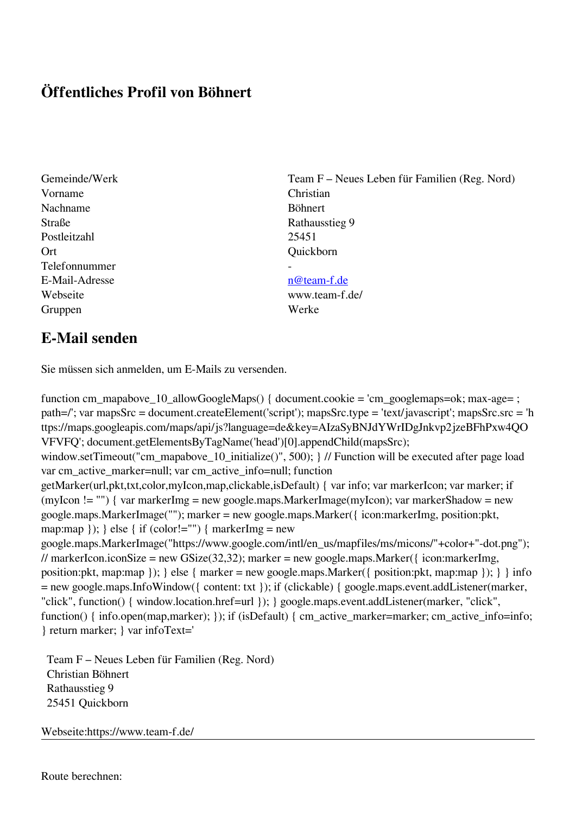## **Öffentliches Profil von Böhnert**

Gemeinde/Werk Team F – Neues Leben für Familien (Reg. Nord) Vorname Christian Nachname Böhnert Straße Rathausstieg 9 Postleitzahl 25451 Ort Quickborn Telefonnummer E-Mail-Adresse [n@team-f.de](mailto:n@team-f.de) Webseite www.team-f.de/ Gruppen Werke

## **E-Mail senden**

Sie müssen sich anmelden, um E-Mails zu versenden.

function cm\_mapabove\_10\_allowGoogleMaps() { document.cookie = 'cm\_googlemaps=ok; max-age= ; path=/'; var mapsSrc = document.createElement('script'); mapsSrc.type = 'text/javascript'; mapsSrc.src = 'h ttps://maps.googleapis.com/maps/api/js?language=de&key=AIzaSyBNJdYWrIDgJnkvp2jzeBFhPxw4QO VFVFQ'; document.getElementsByTagName('head')[0].appendChild(mapsSrc); window.setTimeout("cm\_mapabove\_10\_initialize()", 500); } // Function will be executed after page load var cm\_active\_marker=null; var cm\_active\_info=null; function getMarker(url,pkt,txt,color,myIcon,map,clickable,isDefault) { var info; var markerIcon; var marker; if (myIcon != "") { var markerImg = new google.maps.MarkerImage(myIcon); var markerShadow = new google.maps.MarkerImage(""); marker = new google.maps.Marker({ icon:markerImg, position:pkt, map:map  $\}$ ;  $\}$  else  $\{$  if (color!="")  $\{$  markerImg = new google.maps.MarkerImage("https://www.google.com/intl/en\_us/mapfiles/ms/micons/"+color+"-dot.png"); // markerIcon.iconSize = new GSize(32,32); marker = new google.maps.Marker({ $i$ con:markerImg, position:pkt, map:map }); } else { marker = new google.maps.Marker({ position:pkt, map:map }); } } info = new google.maps.InfoWindow({ content: txt }); if (clickable) { google.maps.event.addListener(marker, "click", function() { window.location.href=url }); } google.maps.event.addListener(marker, "click", function() { info.open(map,marker); }); if (isDefault) { cm\_active\_marker=marker; cm\_active\_info=info; } return marker; } var infoText='

 Team F – Neues Leben für Familien (Reg. Nord) Christian Böhnert Rathausstieg 9 25451 Quickborn

Webseite:https://www.team-f.de/